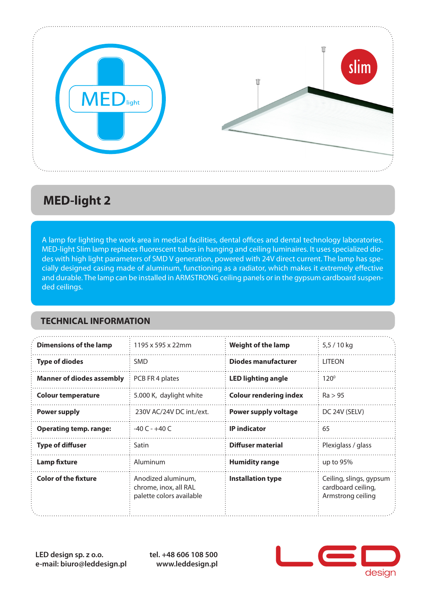

## **MED-light 2**

A lamp for lighting the work area in medical facilities, dental offices and dental technology laboratories. MED-light Slim lamp replaces fluorescent tubes in hanging and ceiling luminaires. It uses specialized diodes with high light parameters of SMD V generation, powered with 24V direct current. The lamp has specially designed casing made of aluminum, functioning as a radiator, which makes it extremely effective and durable. The lamp can be installed in ARMSTRONG ceiling panels or in the gypsum cardboard suspended ceilings.

#### **TECHNICAL INFORMATION**

| <b>Dimensions of the lamp</b>    | 1195 x 595 x 22mm                                                       | <b>Weight of the lamp</b>     | 5,5 / 10 kg                                                        |
|----------------------------------|-------------------------------------------------------------------------|-------------------------------|--------------------------------------------------------------------|
| <b>Type of diodes</b>            | <b>SMD</b>                                                              | <b>Diodes manufacturer</b>    | <b>LITEON</b>                                                      |
| <b>Manner of diodes assembly</b> | PCB FR 4 plates                                                         | <b>LED lighting angle</b>     | $120^{\circ}$                                                      |
| <b>Colour temperature</b>        | 5.000 K, daylight white                                                 | <b>Colour rendering index</b> | Ra > 95                                                            |
| <b>Power supply</b>              | 230V AC/24V DC int./ext.                                                | <b>Power supply voltage</b>   | DC 24V (SELV)                                                      |
| <b>Operating temp. range:</b>    | $-40C - +40C$                                                           | <b>IP</b> indicator           | 65                                                                 |
| <b>Type of diffuser</b>          | Satin                                                                   | Diffuser material             | Plexiglass / glass                                                 |
| <b>Lamp fixture</b>              | Aluminum                                                                | <b>Humidity range</b>         | up to 95%                                                          |
| <b>Color of the fixture</b>      | Anodized aluminum,<br>chrome, inox, all RAL<br>palette colors available | <b>Installation type</b>      | Ceiling, slings, gypsum<br>cardboard ceiling,<br>Armstrong ceiling |

**LED design sp. z o.o. e-mail: biuro@leddesign.pl** **tel. +48 606 108 500 www.leddesign.pl**